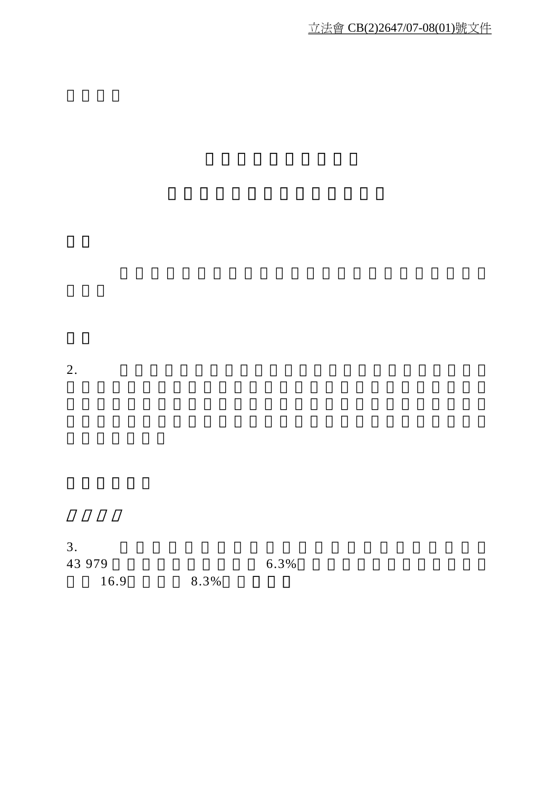立法會 CB(2)2647/07-08(01)號文件

 $2.$ 

 $3.$ 43 979 6.3% 16.9, 8.3%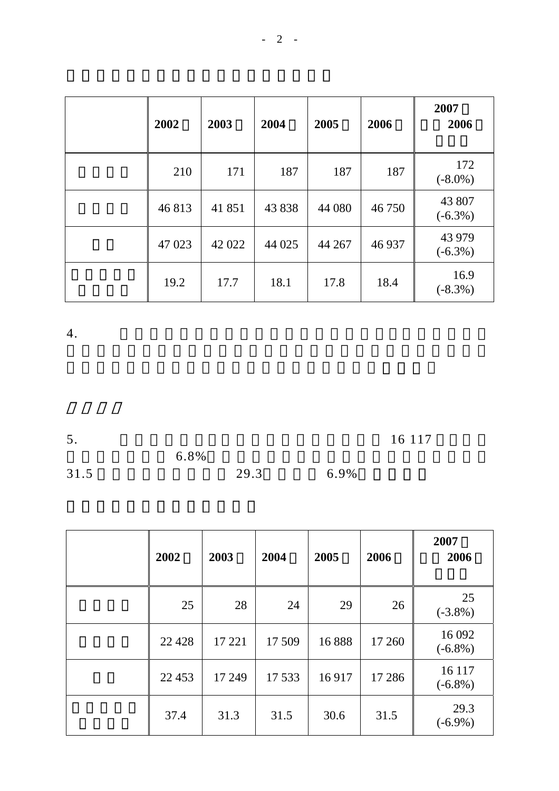| 2002   | 2003   | 2004   | 2005   | 2006   | 2007<br>2006         |
|--------|--------|--------|--------|--------|----------------------|
| 210    | 171    | 187    | 187    | 187    | 172<br>$(-8.0\%)$    |
| 46813  | 41851  | 43 838 | 44 080 | 46750  | 43 807<br>$(-6.3\%)$ |
| 47 023 | 42 022 | 44 025 | 44 267 | 46 937 | 43 979<br>$(-6.3\%)$ |
| 19.2   | 17.7   | 18.1   | 17.8   | 18.4   | 16.9<br>$(-8.3\%)$   |

 $4.$ 

5. 在二零零七年 各行業的工業意外數字為 16 117 宗,較

 $6.8\%$  $31.5$   $29.3$   $6.9\%$ 

| 2002    | 2003   | 2004   | 2005  | 2006    | 2007<br>2006         |
|---------|--------|--------|-------|---------|----------------------|
| 25      | 28     | 24     | 29    | 26      | 25<br>$(-3.8\%)$     |
| 22 4 28 | 17 221 | 17 509 | 16888 | 17 260  | 16 092<br>$(-6.8\%)$ |
| 22 453  | 17 249 | 17 533 | 16917 | 17 28 6 | 16 117<br>$(-6.8\%)$ |
| 37.4    | 31.3   | 31.5   | 30.6  | 31.5    | 29.3<br>$(-6.9\%)$   |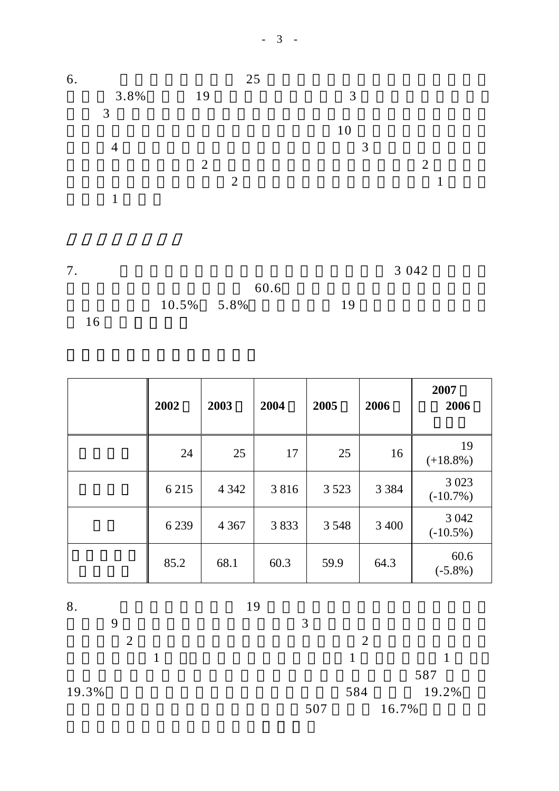

| 2002    | 2003    | 2004 | 2005    | 2006    | 2007<br>2006           |
|---------|---------|------|---------|---------|------------------------|
| 24      | 25      | 17   | 25      | 16      | 19<br>$(+18.8\%)$      |
| 6 2 1 5 | 4 3 4 2 | 3816 | 3 5 2 3 | 3 3 8 4 | 3 0 2 3<br>$(-10.7\%)$ |
| 6 2 3 9 | 4 3 6 7 | 3833 | 3 5 4 8 | 3 400   | 3 0 4 2<br>$(-10.5\%)$ |
| 85.2    | 68.1    | 60.3 | 59.9    | 64.3    | 60.6<br>$(-5.8\%)$     |

8.  $19$ 

 $9 \hspace{2.5cm} 3$  $\sim$  2  $\sim$  2  $1 \hspace{2.5cm} 1 \hspace{2.5cm} 1$  $587$ 19.3% 584 19.2% 507 16.7%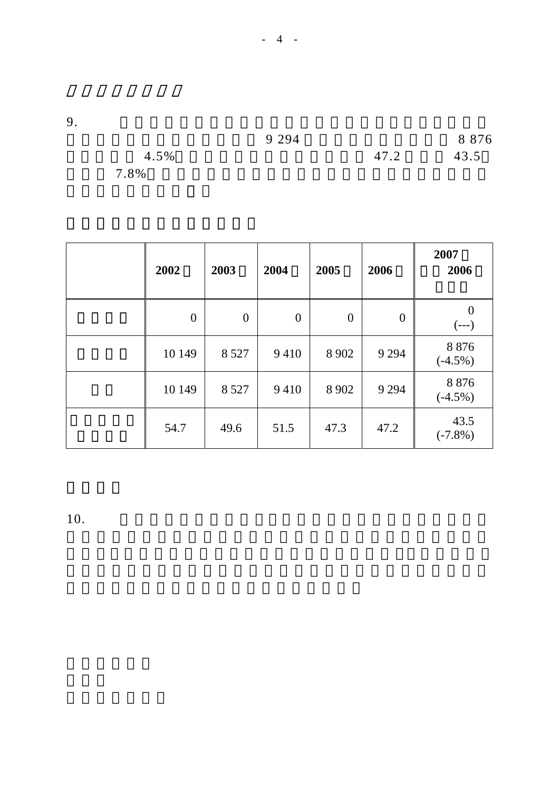9.  $\blacksquare$ 

|      | 9 2 9 4 |      | 8 8 7 6 |
|------|---------|------|---------|
| 4.5% |         | 47.2 | 43.5    |
| 7.8% |         |      |         |

| 2002             | 2003           | 2004             | 2005             | 2006     | 2007<br>2006          |
|------------------|----------------|------------------|------------------|----------|-----------------------|
| $\boldsymbol{0}$ | $\overline{0}$ | $\boldsymbol{0}$ | $\boldsymbol{0}$ | $\theta$ | $\theta$<br>$(---)$   |
| 10 149           | 8 5 2 7        | 9410             | 8 9 0 2          | 9 2 9 4  | 8 8 7 6<br>$(-4.5\%)$ |
| 10 149           | 8 5 2 7        | 9410             | 8 9 0 2          | 9 2 9 4  | 8876<br>$(-4.5\%)$    |
| 54.7             | 49.6           | 51.5             | 47.3             | 47.2     | 43.5<br>$(-7.8\%)$    |

 $10.$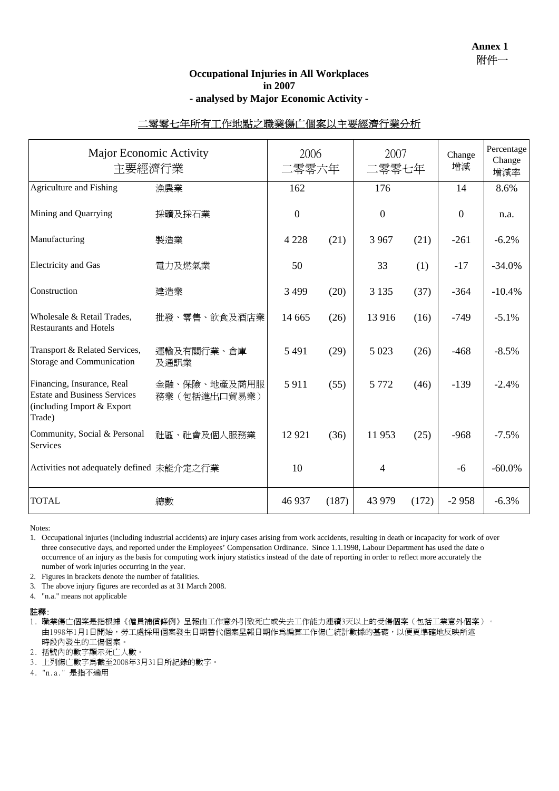### **Occupational Injuries in All Workplaces in 2007 - analysed by Major Economic Activity -**

## 二零零七年所有工作地點之職業傷亡個案以主要經濟行業分析

| Major Economic Activity<br>主要經濟行業                                                                         |                              | 2006<br>二零零六年    |       | 2007<br>二零零七年  |       | Change<br>增減 | Percentage<br>Change<br>增減率 |
|-----------------------------------------------------------------------------------------------------------|------------------------------|------------------|-------|----------------|-------|--------------|-----------------------------|
| Agriculture and Fishing                                                                                   | 漁農業                          | 162              |       | 176            |       | 14           | 8.6%                        |
| Mining and Quarrying                                                                                      | 採礦及採石業                       | $\boldsymbol{0}$ |       | $\overline{0}$ |       | $\theta$     | n.a.                        |
| Manufacturing                                                                                             | 製造業                          | 4 2 2 8          | (21)  | 3 9 6 7        | (21)  | $-261$       | $-6.2%$                     |
| <b>Electricity</b> and Gas                                                                                | 電力及燃氣業                       | 50               |       | 33             | (1)   | $-17$        | $-34.0%$                    |
| Construction                                                                                              | 建造業                          | 3 4 9 9          | (20)  | 3 1 3 5        | (37)  | $-364$       | $-10.4%$                    |
| Wholesale & Retail Trades,<br><b>Restaurants and Hotels</b>                                               | 批發、零售、飲食及酒店業                 | 14 6 65          | (26)  | 13 916         | (16)  | $-749$       | $-5.1\%$                    |
| Transport & Related Services,<br>Storage and Communication                                                | 運輸及有關行業、倉庫<br>及通訊業           | 5 4 9 1          | (29)  | 5 0 23         | (26)  | $-468$       | $-8.5%$                     |
| Financing, Insurance, Real<br><b>Estate and Business Services</b><br>(including Import & Export<br>Trade) | 金融、保險、地產及商用服<br>務業(包括進出口貿易業) | 5911             | (55)  | 5 7 7 2        | (46)  | $-139$       | $-2.4%$                     |
| Community, Social & Personal<br>Services                                                                  | 社區、社會及個人服務業                  | 12 9 21          | (36)  | 11953          | (25)  | $-968$       | $-7.5\%$                    |
| Activities not adequately defined 未能介定之行業                                                                 |                              | 10               |       | 4              |       | $-6$         | $-60.0\%$                   |
| <b>TOTAL</b>                                                                                              | 總數                           | 46 937           | (187) | 43 979         | (172) | $-2958$      | $-6.3%$                     |

Notes:

1. Occupational injuries (including industrial accidents) are injury cases arising from work accidents, resulting in death or incapacity for work of over three consecutive days, and reported under the Employees' Compensation Ordinance. Since 1.1.1998, Labour Department has used the date o occurrence of an injury as the basis for computing work injury statistics instead of the date of reporting in order to reflect more accurately the number of work injuries occurring in the year.

2. Figures in brackets denote the number of fatalities.

3. The above injury figures are recorded as at 31 March 2008.

4. "n.a." means not applicable

註釋:

1. 職業傷亡個案是指根據《僱員補償條例》呈報由工作意外引致死亡或失去工作能力連續3天以上的受傷個案(包括工業意外個案)。 由1998年1月1日開始,勞工處採用個案發生日期替代個案呈報日期作爲編算工作傷亡統計數據的基礎,以便更準確地反映所述 時段內發生的工傷個案。

2. 括號內的數字顯示死亡人數。

3. 上列傷亡數字為截至2008年3月31日所紀錄的數字。

4. "n.a." 是指不適用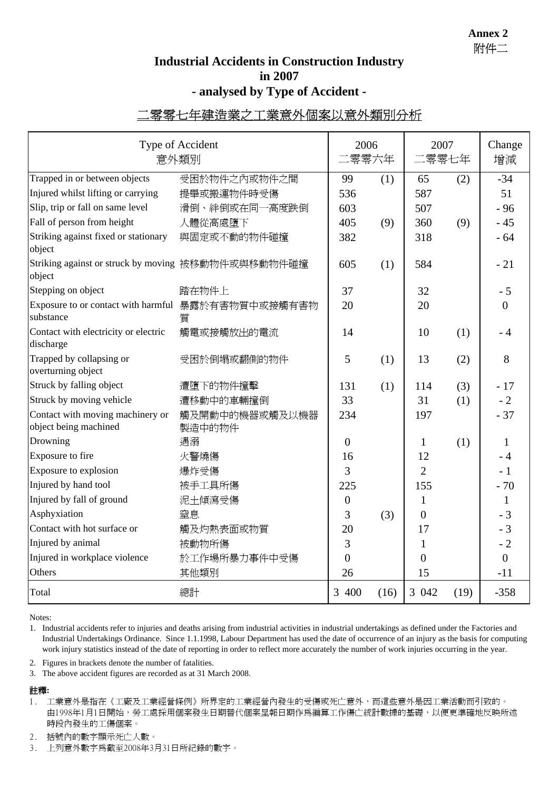**Annex 2** 附件二

# **Industrial Accidents in Construction Industry in 2007 - analysed by Type of Accident -**

# 二零零七年建造業之工業意外個案以意外類別分析

| Type of Accident<br>意外類別                                        |                          |                | 2006<br>二零零六年 | 2007<br>二零零七年  |      | Change<br>增減   |
|-----------------------------------------------------------------|--------------------------|----------------|---------------|----------------|------|----------------|
| Trapped in or between objects                                   | 受困於物件之內或物件之間             | 99             | (1)           | 65             | (2)  | $-34$          |
| Injured whilst lifting or carrying                              | 提舉或搬運物件時受傷               | 536            |               | 587            |      | 51             |
| Slip, trip or fall on same level                                | 滑倒、絆倒或在同一高度跌倒            | 603            |               | 507            |      | $-96$          |
| Fall of person from height                                      | 人體從高處墮下                  | 405            | (9)           | 360            | (9)  | $-45$          |
| Striking against fixed or stationary<br>object                  | 與固定或不動的物件碰撞              | 382            |               | 318            |      | $-64$          |
| Striking against or struck by moving 被移動物件或與移動物件碰撞<br>object    |                          | 605            | (1)           | 584            |      | $-21$          |
| Stepping on object                                              | 踏在物件上                    | 37             |               | 32             |      | $-5$           |
| Exposure to or contact with harmful 暴露於有害物質中或接觸有害物<br>substance | 質                        | 20             |               | 20             |      | $\overline{0}$ |
| Contact with electricity or electric<br>discharge               | 觸電或接觸放出的電流               | 14             |               | 10             | (1)  | - 4            |
| Trapped by collapsing or<br>overturning object                  | 受困於倒塌或翻側的物件              | 5              | (1)           | 13             | (2)  | 8              |
| Struck by falling object                                        | 遭墮下的物件撞擊                 | 131            | (1)           | 114            | (3)  | $-17$          |
| Struck by moving vehicle                                        | 遭移動中的車輛撞倒                | 33             |               | 31             | (1)  | $-2$           |
| Contact with moving machinery or<br>object being machined       | 觸及開動中的機器或觸及以機器<br>製造中的物件 | 234            |               | 197            |      | $-37$          |
| Drowning                                                        | 遇溺                       | $\overline{0}$ |               | 1              | (1)  | 1              |
| Exposure to fire                                                | 火警燒傷                     | 16             |               | 12             |      | - 4            |
| Exposure to explosion                                           | 爆炸受傷                     | 3              |               | $\overline{2}$ |      | $-1$           |
| Injured by hand tool                                            | 被手工具所傷                   | 225            |               | 155            |      | $-70$          |
| Injured by fall of ground                                       | 泥土傾瀉受傷                   | $\mathbf{0}$   |               | 1              |      | $\mathbf{1}$   |
| Asphyxiation                                                    | 窒息                       | 3              | (3)           | $\overline{0}$ |      | $-3$           |
| Contact with hot surface or                                     | 觸及灼熱表面或物質                | 20             |               | 17             |      | $-3$           |
| Injured by animal                                               | 被動物所傷                    | 3              |               | 1              |      | $-2$           |
| Injured in workplace violence                                   | 於工作場所暴力事件中受傷             | $\overline{0}$ |               | $\overline{0}$ |      | $\overline{0}$ |
| Others                                                          | 其他類別                     | 26             |               | 15             |      | $-11$          |
| Total                                                           | 總計                       | 3 400          | (16)          | 3 042          | (19) | $-358$         |

Notes:

1. Industrial accidents refer to injuries and deaths arising from industrial activities in industrial undertakings as defined under the Factories and Industrial Undertakings Ordinance. Since 1.1.1998, Labour Department has used the date of occurrence of an injury as the basis for computing work injury statistics instead of the date of reporting in order to reflect more accurately the number of work injuries occurring in the year.

2. Figures in brackets denote the number of fatalities.

3. The above accident figures are recorded as at 31 March 2008.

#### 註釋**:**

- 1. 工業意外是指在《工廠及工業經營條例》所界定的工業經營內發生的受傷或死亡意外,而這些意外是因工業活動而引致的。 由1998年1月1日開始,勞工處採用個案發生日期替代個案呈報日期作為編算工作傷亡統計數據的基礎,以便更準確地反映所述 時段內發生的工傷個案。
- 2. 括號內的數字顯示死亡人數。

3. 上列意外數字為截至2008年3月31日所紀錄的數字。